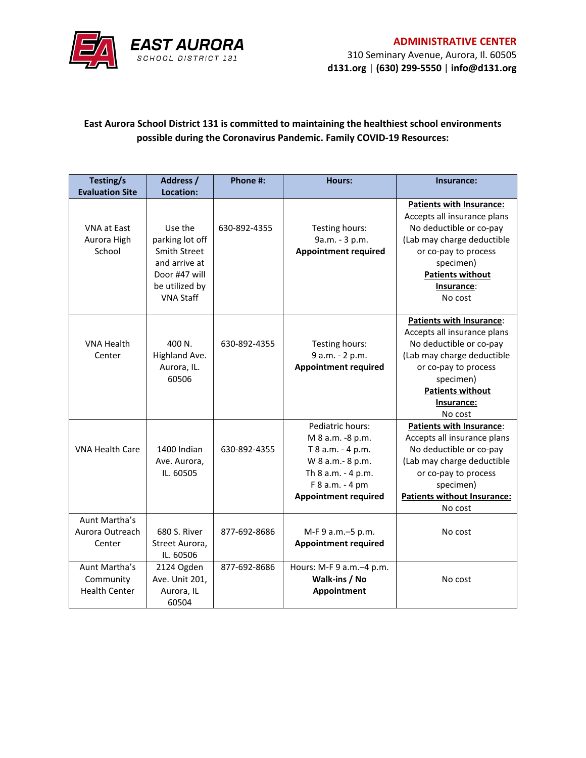

## **East Aurora School District 131 is committed to maintaining the healthiest school environments possible during the Coronavirus Pandemic. Family COVID-19 Resources:**

| Testing/s              | Address /           | Phone #:     | Hours:                      | Insurance:                         |
|------------------------|---------------------|--------------|-----------------------------|------------------------------------|
| <b>Evaluation Site</b> | Location:           |              |                             |                                    |
|                        |                     |              |                             | <b>Patients with Insurance:</b>    |
|                        |                     |              |                             | Accepts all insurance plans        |
| <b>VNA at East</b>     | Use the             | 630-892-4355 | Testing hours:              | No deductible or co-pay            |
| Aurora High            | parking lot off     |              | 9a.m. - 3 p.m.              | (Lab may charge deductible         |
| School                 | <b>Smith Street</b> |              | <b>Appointment required</b> | or co-pay to process               |
|                        | and arrive at       |              |                             | specimen)                          |
|                        | Door #47 will       |              |                             | <b>Patients without</b>            |
|                        | be utilized by      |              |                             | Insurance:                         |
|                        | <b>VNA Staff</b>    |              |                             | No cost                            |
|                        |                     |              |                             |                                    |
|                        |                     |              |                             | Patients with Insurance:           |
|                        |                     |              |                             | Accepts all insurance plans        |
| <b>VNA Health</b>      | 400 N.              | 630-892-4355 | Testing hours:              | No deductible or co-pay            |
| Center                 | Highland Ave.       |              | 9 a.m. - 2 p.m.             | (Lab may charge deductible         |
|                        | Aurora, IL.         |              | <b>Appointment required</b> | or co-pay to process               |
|                        | 60506               |              |                             | specimen)                          |
|                        |                     |              |                             | <b>Patients without</b>            |
|                        |                     |              |                             | Insurance:                         |
|                        |                     |              |                             | No cost                            |
|                        |                     |              | Pediatric hours:            | <b>Patients with Insurance:</b>    |
|                        |                     |              | M 8 a.m. -8 p.m.            | Accepts all insurance plans        |
| <b>VNA Health Care</b> | 1400 Indian         | 630-892-4355 | T 8 a.m. - 4 p.m.           | No deductible or co-pay            |
|                        | Ave. Aurora,        |              | W 8 a.m.- 8 p.m.            | (Lab may charge deductible         |
|                        | IL. 60505           |              | Th 8 a.m. - 4 p.m.          | or co-pay to process               |
|                        |                     |              | F 8 a.m. - 4 pm             | specimen)                          |
|                        |                     |              | <b>Appointment required</b> | <b>Patients without Insurance:</b> |
|                        |                     |              |                             | No cost                            |
| Aunt Martha's          |                     |              |                             |                                    |
| Aurora Outreach        | 680 S. River        | 877-692-8686 | M-F 9 a.m.-5 p.m.           | No cost                            |
| Center                 | Street Aurora,      |              | <b>Appointment required</b> |                                    |
|                        | IL. 60506           |              |                             |                                    |
| Aunt Martha's          | 2124 Ogden          | 877-692-8686 | Hours: M-F 9 a.m. - 4 p.m.  |                                    |
| Community              | Ave. Unit 201,      |              | Walk-ins / No               | No cost                            |
| <b>Health Center</b>   | Aurora, IL          |              | Appointment                 |                                    |
|                        | 60504               |              |                             |                                    |